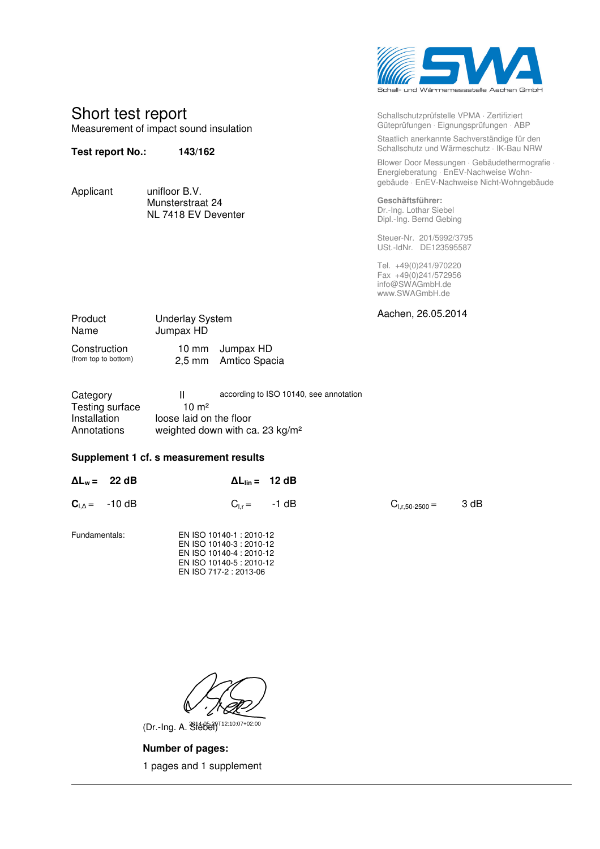

Schallschutzprüfstelle VPMA ⋅ Zertifiziert Güteprüfungen ⋅ Eignungsprüfungen ⋅ ABP Staatlich anerkannte Sachverständige für den Schallschutz und Wärmeschutz ⋅ IK-Bau NRW

Blower Door Messungen ⋅ Gebäudethermografie ⋅ Energieberatung ⋅ EnEV-Nachweise Wohngebäude ⋅ EnEV-Nachweise Nicht-Wohngebäude

**Geschäftsführer:**  Dr.-Ing. Lothar Siebel Dipl.-Ing. Bernd Gebing

Steuer-Nr. 201/5992/3795 USt.-IdNr. DE123595587

Tel. +49(0)241/970220 Fax +49(0)241/572956 info@SWAGmbH.de www.SWAGmbH.de

| Product<br>Name                      | <b>Underlay System</b><br>Jumpax HD |                                         | Aachen, 26.05.2014 |
|--------------------------------------|-------------------------------------|-----------------------------------------|--------------------|
| Construction<br>(from top to bottom) |                                     | 10 mm Jumpax HD<br>2,5 mm Amtico Spacia |                    |

| Category        | Ш                       | according to ISO 10140, see annotation |
|-----------------|-------------------------|----------------------------------------|
| Testing surface | 10 m <sup>2</sup>       |                                        |
| Installation    | loose laid on the floor |                                        |
| Annotations     |                         | weighted down with ca. 23 $kg/m2$      |

## **Supplement 1 cf. s measurement results**

Short test report

**Test report No.: 143/162** 

Applicant unifloor B.V.

Measurement of impact sound insulation

 Munsterstraat 24 NL 7418 EV Deventer

| $\Delta L_w = 22 dB$   | $\Delta L_{\text{lin}} = 12 \text{ dB}$                                         |                     |      |
|------------------------|---------------------------------------------------------------------------------|---------------------|------|
| $C_{L\Delta} = -10 dB$ | $C_{1r} = -1 dB$                                                                | $G_{1,r,50-2500} =$ | 3 dB |
| Fundamentals:          | EN ISO 10140-1: 2010-12<br>EN ISO 10140-3 : 2010-12<br>EN ISO 10140-4 : 2010-12 |                     |      |

(Dr.-Ing. A. Siebel) 2014-05-29T12:10:07+02:00

 EN ISO 10140-5 : 2010-12 EN ISO 717-2 : 2013-06

**Number of pages:** 

1 pages and 1 supplement